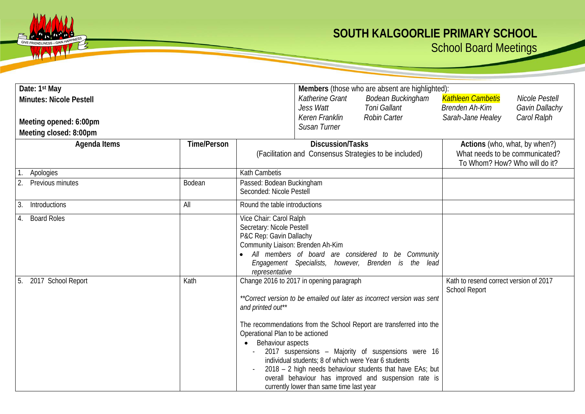## **SOUTH KALGOORLIE PRIMARY SCHOOL**

School Board Meetings

| Date: 1 <sup>st</sup> May<br><b>Minutes: Nicole Pestell</b><br>Meeting opened: 6:00pm<br>Meeting closed: 8:00pm |                    | Members (those who are absent are highlighted):<br>Katherine Grant<br>Bodean Buckingham<br><b>Toni Gallant</b><br>Jess Watt<br>Keren Franklin<br><b>Robin Carter</b><br>Susan Turner                                                                                                                                                                                                                                                                                                                                                                    | <b>Kathleen Cambetis</b><br><b>Nicole Pestell</b><br><b>Brenden Ah-Kim</b><br>Gavin Dallachy<br>Sarah-Jane Healey<br>Carol Ralph |
|-----------------------------------------------------------------------------------------------------------------|--------------------|---------------------------------------------------------------------------------------------------------------------------------------------------------------------------------------------------------------------------------------------------------------------------------------------------------------------------------------------------------------------------------------------------------------------------------------------------------------------------------------------------------------------------------------------------------|----------------------------------------------------------------------------------------------------------------------------------|
| Agenda Items                                                                                                    | <b>Time/Person</b> | <b>Discussion/Tasks</b><br>(Facilitation and Consensus Strategies to be included)                                                                                                                                                                                                                                                                                                                                                                                                                                                                       | Actions (who, what, by when?)<br>What needs to be communicated?<br>To Whom? How? Who will do it?                                 |
| Apologies<br>Previous minutes                                                                                   | Bodean             | Kath Cambetis<br>Passed: Bodean Buckingham<br>Seconded: Nicole Pestell                                                                                                                                                                                                                                                                                                                                                                                                                                                                                  |                                                                                                                                  |
| Introductions<br>3.                                                                                             | All                | Round the table introductions                                                                                                                                                                                                                                                                                                                                                                                                                                                                                                                           |                                                                                                                                  |
| <b>Board Roles</b>                                                                                              |                    | Vice Chair: Carol Ralph<br>Secretary: Nicole Pestell<br>P&C Rep: Gavin Dallachy<br>Community Liaison: Brenden Ah-Kim<br>All members of board are considered to be Community<br>Engagement Specialists, however, Brenden is the lead<br>representative                                                                                                                                                                                                                                                                                                   |                                                                                                                                  |
| 2017 School Report<br>5.                                                                                        | Kath               | Change 2016 to 2017 in opening paragraph<br>**Correct version to be emailed out later as incorrect version was sent<br>and printed out**<br>The recommendations from the School Report are transferred into the<br>Operational Plan to be actioned<br>Behaviour aspects<br>2017 suspensions - Majority of suspensions were 16<br>individual students; 8 of which were Year 6 students<br>2018 - 2 high needs behaviour students that have EAs; but<br>overall behaviour has improved and suspension rate is<br>currently lower than same time last year | Kath to resend correct version of 2017<br><b>School Report</b>                                                                   |

GIVE FRIENDLINESS-GAIN

WA

 $72$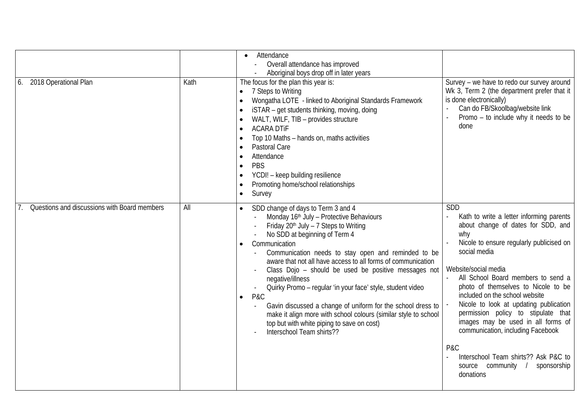| 2018 Operational Plan<br>6.                  | Kath | Attendance<br>$\bullet$<br>Overall attendance has improved<br>Aboriginal boys drop off in later years<br>The focus for the plan this year is:<br>7 Steps to Writing<br>Wongatha LOTE - linked to Aboriginal Standards Framework<br>iSTAR - get students thinking, moving, doing<br>WALT, WILF, TIB - provides structure<br><b>ACARA DTIF</b><br>Top 10 Maths - hands on, maths activities<br>Pastoral Care<br>Attendance<br>PBS<br>$\bullet$<br>YCDI! - keep building resilience<br>Promoting home/school relationships<br>Survey<br>$\bullet$                                                                                                                                                       | Survey - we have to redo our survey around<br>Wk 3, Term 2 (the department prefer that it<br>is done electronically)<br>Can do FB/Skoolbag/website link<br>Promo - to include why it needs to be<br>done                                                                                                                                                                                                                                                                                                                                                     |
|----------------------------------------------|------|------------------------------------------------------------------------------------------------------------------------------------------------------------------------------------------------------------------------------------------------------------------------------------------------------------------------------------------------------------------------------------------------------------------------------------------------------------------------------------------------------------------------------------------------------------------------------------------------------------------------------------------------------------------------------------------------------|--------------------------------------------------------------------------------------------------------------------------------------------------------------------------------------------------------------------------------------------------------------------------------------------------------------------------------------------------------------------------------------------------------------------------------------------------------------------------------------------------------------------------------------------------------------|
| Questions and discussions with Board members | All  | SDD change of days to Term 3 and 4<br>Monday 16th July - Protective Behaviours<br>Friday 20 <sup>th</sup> July - 7 Steps to Writing<br>No SDD at beginning of Term 4<br>Communication<br>$\bullet$<br>Communication needs to stay open and reminded to be<br>aware that not all have access to all forms of communication<br>Class Dojo - should be used be positive messages not<br>negative/illness<br>Quirky Promo - regular 'in your face' style, student video<br>P&C<br>$\bullet$<br>Gavin discussed a change of uniform for the school dress to<br>make it align more with school colours (similar style to school<br>top but with white piping to save on cost)<br>Interschool Team shirts?? | SDD<br>Kath to write a letter informing parents<br>about change of dates for SDD, and<br>why<br>Nicole to ensure regularly publicised on<br>social media<br>Website/social media<br>All School Board members to send a<br>photo of themselves to Nicole to be<br>included on the school website<br>Nicole to look at updating publication<br>permission policy to stipulate that<br>images may be used in all forms of<br>communication, including Facebook<br>P&C<br>Interschool Team shirts?? Ask P&C to<br>source community /<br>sponsorship<br>donations |